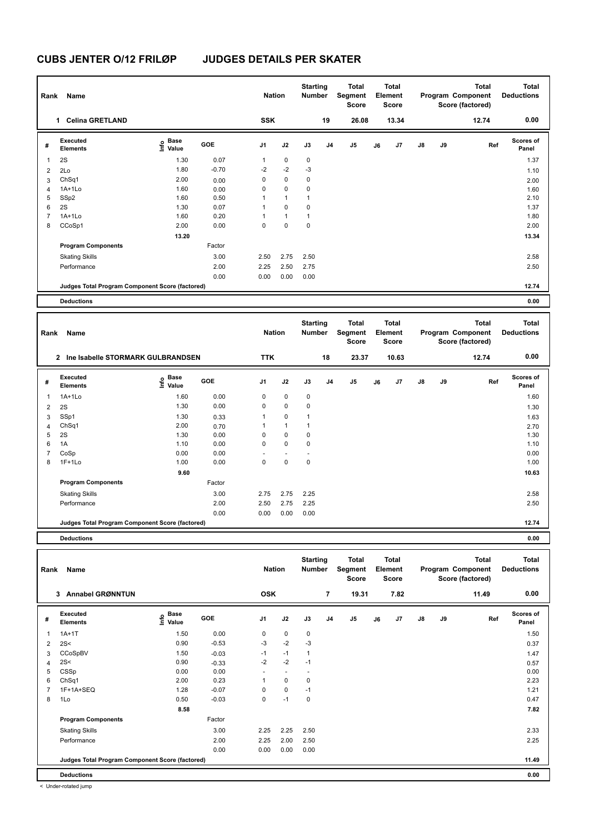| Rank           | Name                                            |                   |            | <b>Nation</b> |                | <b>Starting</b><br>Number |                | <b>Total</b><br>Segment<br>Score |    | Total<br>Element<br><b>Score</b> |    |    | <b>Total</b><br>Program Component<br>Score (factored) | <b>Total</b><br><b>Deductions</b> |
|----------------|-------------------------------------------------|-------------------|------------|---------------|----------------|---------------------------|----------------|----------------------------------|----|----------------------------------|----|----|-------------------------------------------------------|-----------------------------------|
|                | 1 Celina GRETLAND                               |                   |            | <b>SSK</b>    |                |                           | 19             | 26.08                            |    | 13.34                            |    |    | 12.74                                                 | 0.00                              |
| #              | Executed<br><b>Elements</b>                     | e Base<br>E Value | GOE        | J1            | J2             | J3                        | J <sub>4</sub> | J5                               | J6 | J7                               | J8 | J9 | Ref                                                   | Scores of<br>Panel                |
| 1              | 2S                                              | 1.30              | 0.07       | $\mathbf{1}$  | $\pmb{0}$      | $\pmb{0}$                 |                |                                  |    |                                  |    |    |                                                       | 1.37                              |
| 2              | 2Lo                                             | 1.80              | $-0.70$    | -2            | $-2$           | $-3$                      |                |                                  |    |                                  |    |    |                                                       | 1.10                              |
| 3              | ChSq1                                           | 2.00              | 0.00       | 0             | $\pmb{0}$      | 0                         |                |                                  |    |                                  |    |    |                                                       | 2.00                              |
| $\overline{4}$ | 1A+1Lo                                          | 1.60              | 0.00       | 0             | $\pmb{0}$      | $\mathbf 0$               |                |                                  |    |                                  |    |    |                                                       | 1.60                              |
| 5              | SSp2                                            | 1.60              | 0.50       | 1             | $\mathbf{1}$   | $\mathbf{1}$              |                |                                  |    |                                  |    |    |                                                       | 2.10                              |
| 6              | 2S                                              | 1.30              | 0.07       | $\mathbf{1}$  | $\pmb{0}$      | $\mathbf 0$               |                |                                  |    |                                  |    |    |                                                       | 1.37                              |
| $\overline{7}$ | $1A+1Lo$                                        | 1.60              | 0.20       | $\mathbf{1}$  | $\mathbf{1}$   | $\mathbf{1}$              |                |                                  |    |                                  |    |    |                                                       | 1.80                              |
| 8              | CCoSp1                                          | 2.00              | 0.00       | $\mathbf 0$   | $\pmb{0}$      | $\mathbf 0$               |                |                                  |    |                                  |    |    |                                                       | 2.00                              |
|                |                                                 | 13.20             |            |               |                |                           |                |                                  |    |                                  |    |    |                                                       | 13.34                             |
|                | <b>Program Components</b>                       |                   | Factor     |               |                |                           |                |                                  |    |                                  |    |    |                                                       |                                   |
|                | <b>Skating Skills</b>                           |                   | 3.00       | 2.50          | 2.75           | 2.50                      |                |                                  |    |                                  |    |    |                                                       | 2.58                              |
|                | Performance                                     |                   | 2.00       | 2.25          | 2.50           | 2.75                      |                |                                  |    |                                  |    |    |                                                       | 2.50                              |
|                |                                                 |                   | 0.00       | 0.00          | 0.00           | 0.00                      |                |                                  |    |                                  |    |    |                                                       |                                   |
|                | Judges Total Program Component Score (factored) |                   |            |               |                |                           |                |                                  |    |                                  |    |    |                                                       | 12.74                             |
|                | <b>Deductions</b>                               |                   |            |               |                |                           |                |                                  |    |                                  |    |    |                                                       | 0.00                              |
|                |                                                 |                   |            |               |                |                           |                |                                  |    |                                  |    |    |                                                       |                                   |
|                |                                                 |                   |            |               |                |                           |                |                                  |    |                                  |    |    |                                                       |                                   |
| Rank           | Name                                            |                   |            | <b>Nation</b> |                | <b>Starting</b><br>Number |                | <b>Total</b><br>Segment<br>Score |    | <b>Total</b><br>Element<br>Score |    |    | <b>Total</b><br>Program Component<br>Score (factored) | <b>Total</b><br><b>Deductions</b> |
|                | 2 Ine Isabelle STORMARK GULBRANDSEN             |                   |            | <b>TTK</b>    |                |                           | 18             | 23.37                            |    | 10.63                            |    |    | 12.74                                                 | 0.00                              |
| #              | <b>Executed</b><br><b>Elements</b>              | e Base<br>E Value | <b>GOE</b> | J1            | J2             | J3                        | J <sub>4</sub> | J5                               | J6 | J <sub>7</sub>                   | J8 | J9 | Ref                                                   | <b>Scores of</b><br>Panel         |
| 1              | 1A+1Lo                                          | 1.60              | 0.00       | $\mathbf 0$   | $\mathbf 0$    | 0                         |                |                                  |    |                                  |    |    |                                                       | 1.60                              |
| $\overline{2}$ | 2S                                              | 1.30              | 0.00       | 0             | $\pmb{0}$      | 0                         |                |                                  |    |                                  |    |    |                                                       | 1.30                              |
| 3              | SSp1                                            | 1.30              | 0.33       | $\mathbf{1}$  | $\mathbf 0$    | $\mathbf{1}$              |                |                                  |    |                                  |    |    |                                                       | 1.63                              |
| 4              | ChSq1                                           | 2.00              | 0.70       | $\mathbf{1}$  | $\mathbf{1}$   | $\mathbf{1}$              |                |                                  |    |                                  |    |    |                                                       | 2.70                              |
| 5              | 2S                                              | 1.30              | 0.00       | $\mathbf 0$   | $\pmb{0}$      | $\mathbf 0$               |                |                                  |    |                                  |    |    |                                                       | 1.30                              |
| 6              | 1A                                              | 1.10              | 0.00       | $\Omega$      | $\mathbf 0$    | $\mathbf 0$               |                |                                  |    |                                  |    |    |                                                       | 1.10                              |
| $\overline{7}$ | CoSp                                            | 0.00              | 0.00       |               | $\overline{a}$ | ÷,                        |                |                                  |    |                                  |    |    |                                                       | 0.00                              |
| 8              | $1F+1Lo$                                        | 1.00              | 0.00       | $\mathbf 0$   | $\pmb{0}$      | $\pmb{0}$                 |                |                                  |    |                                  |    |    |                                                       | 1.00                              |
|                |                                                 | 9.60              |            |               |                |                           |                |                                  |    |                                  |    |    |                                                       | 10.63                             |
|                | <b>Program Components</b>                       |                   | Factor     |               |                |                           |                |                                  |    |                                  |    |    |                                                       |                                   |
|                | <b>Skating Skills</b>                           |                   | 3.00       | 2.75          | 2.75           | 2.25                      |                |                                  |    |                                  |    |    |                                                       | 2.58                              |
|                | Performance                                     |                   | 2.00       | 2.50          | 2.75           | 2.25                      |                |                                  |    |                                  |    |    |                                                       | 2.50                              |
|                |                                                 |                   | 0.00       | 0.00          | 0.00           | 0.00                      |                |                                  |    |                                  |    |    |                                                       |                                   |

**Deductions 0.00**

| Rank | Name                                            |                                  |         | <b>Nation</b>  |                          | <b>Starting</b><br><b>Number</b> |                | <b>Total</b><br>Segment<br><b>Score</b> |    | <b>Total</b><br>Element<br><b>Score</b> |               |    | <b>Total</b><br>Program Component<br>Score (factored) | <b>Total</b><br><b>Deductions</b> |
|------|-------------------------------------------------|----------------------------------|---------|----------------|--------------------------|----------------------------------|----------------|-----------------------------------------|----|-----------------------------------------|---------------|----|-------------------------------------------------------|-----------------------------------|
|      | <b>Annabel GRØNNTUN</b><br>3                    |                                  |         | <b>OSK</b>     |                          |                                  | $\overline{7}$ | 19.31                                   |    | 7.82                                    |               |    | 11.49                                                 | 0.00                              |
| #    | <b>Executed</b><br><b>Elements</b>              | <b>Base</b><br>e Base<br>⊆ Value | GOE     | J <sub>1</sub> | J2                       | J3                               | J <sub>4</sub> | J <sub>5</sub>                          | J6 | J7                                      | $\mathsf{J}8$ | J9 | Ref                                                   | <b>Scores of</b><br>Panel         |
| 1    | $1A+1T$                                         | 1.50                             | 0.00    | 0              | $\mathbf 0$              | $\mathbf 0$                      |                |                                         |    |                                         |               |    |                                                       | 1.50                              |
| 2    | 2S<                                             | 0.90                             | $-0.53$ | $-3$           | $-2$                     | $-3$                             |                |                                         |    |                                         |               |    |                                                       | 0.37                              |
| 3    | CCoSpBV                                         | 1.50                             | $-0.03$ | $-1$           | $-1$                     | $\mathbf{1}$                     |                |                                         |    |                                         |               |    |                                                       | 1.47                              |
| 4    | 2S<                                             | 0.90                             | $-0.33$ | $-2$           | $-2$                     | $-1$                             |                |                                         |    |                                         |               |    |                                                       | 0.57                              |
| 5    | CSSp                                            | 0.00                             | 0.00    | ٠              | $\overline{\phantom{a}}$ |                                  |                |                                         |    |                                         |               |    |                                                       | 0.00                              |
| 6    | ChSq1                                           | 2.00                             | 0.23    | 1              | $\mathbf 0$              | 0                                |                |                                         |    |                                         |               |    |                                                       | 2.23                              |
|      | 1F+1A+SEQ                                       | 1.28                             | $-0.07$ | 0              | $\mathbf 0$              | $-1$                             |                |                                         |    |                                         |               |    |                                                       | 1.21                              |
| 8    | 1Lo                                             | 0.50                             | $-0.03$ | 0              | $-1$                     | 0                                |                |                                         |    |                                         |               |    |                                                       | 0.47                              |
|      |                                                 | 8.58                             |         |                |                          |                                  |                |                                         |    |                                         |               |    |                                                       | 7.82                              |
|      | <b>Program Components</b>                       |                                  | Factor  |                |                          |                                  |                |                                         |    |                                         |               |    |                                                       |                                   |
|      | <b>Skating Skills</b>                           |                                  | 3.00    | 2.25           | 2.25                     | 2.50                             |                |                                         |    |                                         |               |    |                                                       | 2.33                              |
|      | Performance                                     |                                  | 2.00    | 2.25           | 2.00                     | 2.50                             |                |                                         |    |                                         |               |    |                                                       | 2.25                              |
|      |                                                 |                                  | 0.00    | 0.00           | 0.00                     | 0.00                             |                |                                         |    |                                         |               |    |                                                       |                                   |
|      | Judges Total Program Component Score (factored) |                                  |         |                |                          |                                  |                |                                         |    |                                         |               |    |                                                       | 11.49                             |
|      | <b>Deductions</b>                               |                                  |         |                |                          |                                  |                |                                         |    |                                         |               |    |                                                       | 0.00                              |

< Under-rotated jump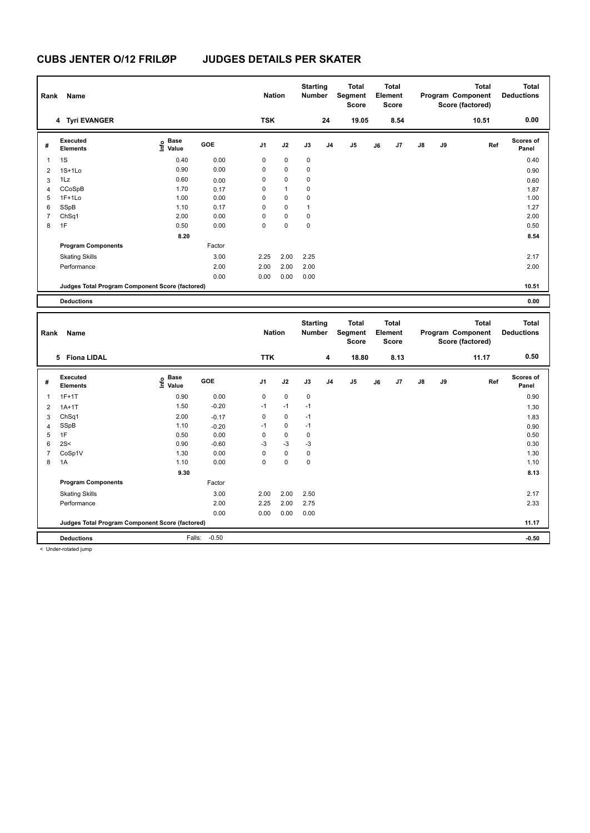| Rank           | Name                                            |                                  |        | <b>Nation</b>  |              | <b>Starting</b><br><b>Number</b> |                | <b>Total</b><br>Segment<br><b>Score</b> |    | <b>Total</b><br>Element<br><b>Score</b> |    |    | <b>Total</b><br>Program Component<br>Score (factored) | <b>Total</b><br><b>Deductions</b> |
|----------------|-------------------------------------------------|----------------------------------|--------|----------------|--------------|----------------------------------|----------------|-----------------------------------------|----|-----------------------------------------|----|----|-------------------------------------------------------|-----------------------------------|
|                | 4 Tyri EVANGER                                  |                                  |        | <b>TSK</b>     |              |                                  | 24             | 19.05                                   |    | 8.54                                    |    |    | 10.51                                                 | 0.00                              |
| #              | Executed<br><b>Elements</b>                     | <b>Base</b><br>e Base<br>⊆ Value | GOE    | J <sub>1</sub> | J2           | J3                               | J <sub>4</sub> | J <sub>5</sub>                          | J6 | J7                                      | J8 | J9 | Ref                                                   | <b>Scores of</b><br>Panel         |
| 1              | 1S                                              | 0.40                             | 0.00   | 0              | 0            | 0                                |                |                                         |    |                                         |    |    |                                                       | 0.40                              |
| 2              | $1S+1Lo$                                        | 0.90                             | 0.00   | 0              | 0            | 0                                |                |                                         |    |                                         |    |    |                                                       | 0.90                              |
| 3              | 1Lz                                             | 0.60                             | 0.00   | 0              | 0            | 0                                |                |                                         |    |                                         |    |    |                                                       | 0.60                              |
| 4              | CCoSpB                                          | 1.70                             | 0.17   | 0              | $\mathbf{1}$ | 0                                |                |                                         |    |                                         |    |    |                                                       | 1.87                              |
| 5              | $1F+1Lo$                                        | 1.00                             | 0.00   | 0              | 0            | 0                                |                |                                         |    |                                         |    |    |                                                       | 1.00                              |
| 6              | SSpB                                            | 1.10                             | 0.17   | 0              | 0            | 1                                |                |                                         |    |                                         |    |    |                                                       | 1.27                              |
| $\overline{7}$ | ChSq1                                           | 2.00                             | 0.00   | 0              | $\mathbf 0$  | 0                                |                |                                         |    |                                         |    |    |                                                       | 2.00                              |
| 8              | 1F                                              | 0.50                             | 0.00   | 0              | 0            | 0                                |                |                                         |    |                                         |    |    |                                                       | 0.50                              |
|                |                                                 | 8.20                             |        |                |              |                                  |                |                                         |    |                                         |    |    |                                                       | 8.54                              |
|                | <b>Program Components</b>                       |                                  | Factor |                |              |                                  |                |                                         |    |                                         |    |    |                                                       |                                   |
|                | <b>Skating Skills</b>                           |                                  | 3.00   | 2.25           | 2.00         | 2.25                             |                |                                         |    |                                         |    |    |                                                       | 2.17                              |
|                | Performance                                     |                                  | 2.00   | 2.00           | 2.00         | 2.00                             |                |                                         |    |                                         |    |    |                                                       | 2.00                              |
|                |                                                 |                                  | 0.00   | 0.00           | 0.00         | 0.00                             |                |                                         |    |                                         |    |    |                                                       |                                   |
|                | Judges Total Program Component Score (factored) |                                  |        |                |              |                                  |                |                                         |    |                                         |    |    |                                                       | 10.51                             |
|                | <b>Deductions</b>                               |                                  |        |                |              |                                  |                |                                         |    |                                         |    |    |                                                       | 0.00                              |
|                |                                                 |                                  |        |                |              |                                  |                |                                         |    |                                         |    |    |                                                       |                                   |
| Rank           | Name                                            |                                  |        | <b>Nation</b>  |              | <b>Starting</b><br>Number        |                | <b>Total</b><br>Segment<br><b>Score</b> |    | <b>Total</b><br>Element<br><b>Score</b> |    |    | <b>Total</b><br>Program Component<br>Score (factored) | <b>Total</b><br><b>Deductions</b> |
|                | 5 Fiona LIDAL                                   |                                  |        | <b>TTK</b>     |              |                                  | 4              | 18.80                                   |    | 8.13                                    |    |    | 11.17                                                 | 0.50                              |

| # | Executed<br><b>Elements</b>                     | e Base<br>E Value | <b>GOE</b> | J <sub>1</sub> | J2          | J3   | J4 | J <sub>5</sub> | J6 | J7 | $\mathsf{J}8$ | J9 | Ref | <b>Scores of</b><br>Panel |
|---|-------------------------------------------------|-------------------|------------|----------------|-------------|------|----|----------------|----|----|---------------|----|-----|---------------------------|
|   | $1F+1T$                                         | 0.90              | 0.00       | 0              | $\mathbf 0$ | 0    |    |                |    |    |               |    |     | 0.90                      |
| 2 | $1A+1T$                                         | 1.50              | $-0.20$    | $-1$           | $-1$        | $-1$ |    |                |    |    |               |    |     | 1.30                      |
| 3 | ChSq1                                           | 2.00              | $-0.17$    | 0              | $\mathbf 0$ | $-1$ |    |                |    |    |               |    |     | 1.83                      |
| 4 | SSpB                                            | 1.10              | $-0.20$    | $-1$           | $\mathbf 0$ | $-1$ |    |                |    |    |               |    |     | 0.90                      |
| 5 | 1F                                              | 0.50              | 0.00       | 0              | $\mathbf 0$ | 0    |    |                |    |    |               |    |     | 0.50                      |
| 6 | 2S<                                             | 0.90              | $-0.60$    | $-3$           | $-3$        | $-3$ |    |                |    |    |               |    |     | 0.30                      |
|   | CoSp1V                                          | 1.30              | 0.00       | 0              | $\mathbf 0$ | 0    |    |                |    |    |               |    |     | 1.30                      |
| 8 | 1A                                              | 1.10              | 0.00       | 0              | 0           | 0    |    |                |    |    |               |    |     | 1.10                      |
|   |                                                 | 9.30              |            |                |             |      |    |                |    |    |               |    |     | 8.13                      |
|   | <b>Program Components</b>                       |                   | Factor     |                |             |      |    |                |    |    |               |    |     |                           |
|   | <b>Skating Skills</b>                           |                   | 3.00       | 2.00           | 2.00        | 2.50 |    |                |    |    |               |    |     | 2.17                      |
|   | Performance                                     |                   | 2.00       | 2.25           | 2.00        | 2.75 |    |                |    |    |               |    |     | 2.33                      |
|   |                                                 |                   | 0.00       | 0.00           | 0.00        | 0.00 |    |                |    |    |               |    |     |                           |
|   | Judges Total Program Component Score (factored) |                   |            |                |             |      |    |                |    |    |               |    |     | 11.17                     |
|   | <b>Deductions</b>                               | Falls:            | $-0.50$    |                |             |      |    |                |    |    |               |    |     | $-0.50$                   |

< Under-rotated jump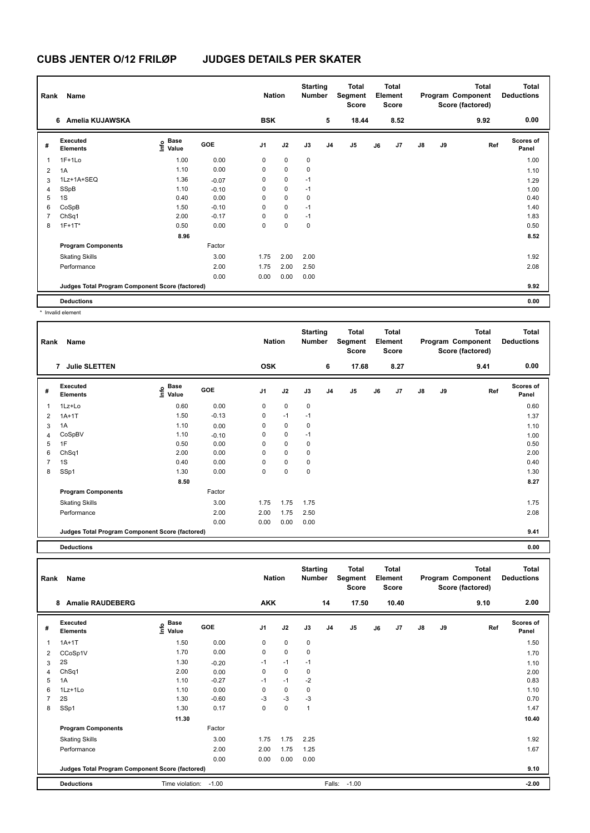| Rank           | Name                                            |                                  |         | <b>Nation</b>  |             | <b>Starting</b><br><b>Number</b> |                | Total<br>Segment<br><b>Score</b> |    | <b>Total</b><br>Element<br><b>Score</b> |               |    | Total<br>Program Component<br>Score (factored) | <b>Total</b><br><b>Deductions</b> |
|----------------|-------------------------------------------------|----------------------------------|---------|----------------|-------------|----------------------------------|----------------|----------------------------------|----|-----------------------------------------|---------------|----|------------------------------------------------|-----------------------------------|
|                | Amelia KUJAWSKA<br>6                            |                                  |         | <b>BSK</b>     |             |                                  | 5              | 18.44                            |    | 8.52                                    |               |    | 9.92                                           | 0.00                              |
| #              | Executed<br><b>Elements</b>                     | <b>Base</b><br>o Base<br>⊆ Value | GOE     | J <sub>1</sub> | J2          | J3                               | J <sub>4</sub> | J5                               | J6 | J7                                      | $\mathsf{J}8$ | J9 | Ref                                            | <b>Scores of</b><br>Panel         |
| $\overline{1}$ | $1F+1Lo$                                        | 1.00                             | 0.00    | 0              | $\mathbf 0$ | $\pmb{0}$                        |                |                                  |    |                                         |               |    |                                                | 1.00                              |
| $\overline{2}$ | 1A                                              | 1.10                             | 0.00    | 0              | 0           | 0                                |                |                                  |    |                                         |               |    |                                                | 1.10                              |
| 3              | 1Lz+1A+SEQ                                      | 1.36                             | $-0.07$ | 0              | 0           | $-1$                             |                |                                  |    |                                         |               |    |                                                | 1.29                              |
| 4              | SSpB                                            | 1.10                             | $-0.10$ | 0              | $\mathbf 0$ | $-1$                             |                |                                  |    |                                         |               |    |                                                | 1.00                              |
| 5              | 1S                                              | 0.40                             | 0.00    | 0              | $\mathbf 0$ | 0                                |                |                                  |    |                                         |               |    |                                                | 0.40                              |
| 6              | CoSpB                                           | 1.50                             | $-0.10$ | 0              | $\mathbf 0$ | $-1$                             |                |                                  |    |                                         |               |    |                                                | 1.40                              |
| $\overline{7}$ | ChSq1                                           | 2.00                             | $-0.17$ | 0              | $\mathbf 0$ | $-1$                             |                |                                  |    |                                         |               |    |                                                | 1.83                              |
| 8              | $1F+1T^*$                                       | 0.50                             | 0.00    | 0              | 0           | $\mathbf 0$                      |                |                                  |    |                                         |               |    |                                                | 0.50                              |
|                |                                                 | 8.96                             |         |                |             |                                  |                |                                  |    |                                         |               |    |                                                | 8.52                              |
|                | <b>Program Components</b>                       |                                  | Factor  |                |             |                                  |                |                                  |    |                                         |               |    |                                                |                                   |
|                | <b>Skating Skills</b>                           |                                  | 3.00    | 1.75           | 2.00        | 2.00                             |                |                                  |    |                                         |               |    |                                                | 1.92                              |
|                | Performance                                     |                                  | 2.00    | 1.75           | 2.00        | 2.50                             |                |                                  |    |                                         |               |    |                                                | 2.08                              |
|                |                                                 |                                  | 0.00    | 0.00           | 0.00        | 0.00                             |                |                                  |    |                                         |               |    |                                                |                                   |
|                | Judges Total Program Component Score (factored) |                                  |         |                |             |                                  |                |                                  |    |                                         |               |    |                                                | 9.92                              |
|                | <b>Deductions</b>                               |                                  |         |                |             |                                  |                |                                  |    |                                         |               |    |                                                | 0.00                              |

\* Invalid element

| Rank           | Name                                            |                       |            | <b>Nation</b>  |      | <b>Starting</b><br><b>Number</b> |                | <b>Total</b><br>Segment<br><b>Score</b> |    | <b>Total</b><br>Element<br><b>Score</b> |               |    | <b>Total</b><br>Program Component<br>Score (factored) | <b>Total</b><br><b>Deductions</b> |
|----------------|-------------------------------------------------|-----------------------|------------|----------------|------|----------------------------------|----------------|-----------------------------------------|----|-----------------------------------------|---------------|----|-------------------------------------------------------|-----------------------------------|
|                | <b>Julie SLETTEN</b><br>7                       |                       |            | <b>OSK</b>     |      |                                  | 6              | 17.68                                   |    | 8.27                                    |               |    | 9.41                                                  | 0.00                              |
| #              | Executed<br><b>Elements</b>                     | Base<br>lnfo<br>Value | <b>GOE</b> | J <sub>1</sub> | J2   | J3                               | J <sub>4</sub> | J5                                      | J6 | J7                                      | $\mathsf{J}8$ | J9 | Ref                                                   | <b>Scores of</b><br>Panel         |
| 1              | 1Lz+Lo                                          | 0.60                  | 0.00       | 0              | 0    | 0                                |                |                                         |    |                                         |               |    |                                                       | 0.60                              |
| 2              | $1A+1T$                                         | 1.50                  | $-0.13$    | 0              | $-1$ | $-1$                             |                |                                         |    |                                         |               |    |                                                       | 1.37                              |
| 3              | 1A                                              | 1.10                  | 0.00       | 0              | 0    | 0                                |                |                                         |    |                                         |               |    |                                                       | 1.10                              |
| 4              | CoSpBV                                          | 1.10                  | $-0.10$    | 0              | 0    | $-1$                             |                |                                         |    |                                         |               |    |                                                       | 1.00                              |
| 5              | 1F                                              | 0.50                  | 0.00       | 0              | 0    | 0                                |                |                                         |    |                                         |               |    |                                                       | 0.50                              |
| 6              | ChSq1                                           | 2.00                  | 0.00       | 0              | 0    | 0                                |                |                                         |    |                                         |               |    |                                                       | 2.00                              |
| $\overline{7}$ | 1S                                              | 0.40                  | 0.00       | 0              | 0    | 0                                |                |                                         |    |                                         |               |    |                                                       | 0.40                              |
| 8              | SSp1                                            | 1.30                  | 0.00       | 0              | 0    | 0                                |                |                                         |    |                                         |               |    |                                                       | 1.30                              |
|                |                                                 | 8.50                  |            |                |      |                                  |                |                                         |    |                                         |               |    |                                                       | 8.27                              |
|                | <b>Program Components</b>                       |                       | Factor     |                |      |                                  |                |                                         |    |                                         |               |    |                                                       |                                   |
|                | <b>Skating Skills</b>                           |                       | 3.00       | 1.75           | 1.75 | 1.75                             |                |                                         |    |                                         |               |    |                                                       | 1.75                              |
|                | Performance                                     |                       | 2.00       | 2.00           | 1.75 | 2.50                             |                |                                         |    |                                         |               |    |                                                       | 2.08                              |
|                |                                                 |                       | 0.00       | 0.00           | 0.00 | 0.00                             |                |                                         |    |                                         |               |    |                                                       |                                   |
|                | Judges Total Program Component Score (factored) |                       |            |                |      |                                  |                |                                         |    |                                         |               |    |                                                       | 9.41                              |

**Deductions 0.00**

| Rank           | Name                                            |                                  |         | <b>Nation</b>  |             | <b>Starting</b><br><b>Number</b> |                | <b>Total</b><br>Segment<br><b>Score</b> |    | Total<br>Element<br><b>Score</b> |               |    | <b>Total</b><br>Program Component<br>Score (factored) | <b>Total</b><br><b>Deductions</b> |
|----------------|-------------------------------------------------|----------------------------------|---------|----------------|-------------|----------------------------------|----------------|-----------------------------------------|----|----------------------------------|---------------|----|-------------------------------------------------------|-----------------------------------|
|                | <b>Amalie RAUDEBERG</b><br>8                    |                                  |         | <b>AKK</b>     |             |                                  | 14             | 17.50                                   |    | 10.40                            |               |    | 9.10                                                  | 2.00                              |
| #              | Executed<br><b>Elements</b>                     | <b>Base</b><br>e Base<br>⊆ Value | GOE     | J <sub>1</sub> | J2          | J3                               | J <sub>4</sub> | J5                                      | J6 | J <sub>7</sub>                   | $\mathsf{J}8$ | J9 | Ref                                                   | <b>Scores of</b><br>Panel         |
| 1              | $1A+1T$                                         | 1.50                             | 0.00    | 0              | 0           | 0                                |                |                                         |    |                                  |               |    |                                                       | 1.50                              |
| 2              | CCoSp1V                                         | 1.70                             | 0.00    | 0              | $\mathbf 0$ | 0                                |                |                                         |    |                                  |               |    |                                                       | 1.70                              |
| 3              | 2S                                              | 1.30                             | $-0.20$ | $-1$           | $-1$        | $-1$                             |                |                                         |    |                                  |               |    |                                                       | 1.10                              |
| $\overline{4}$ | ChSq1                                           | 2.00                             | 0.00    | 0              | $\mathbf 0$ | 0                                |                |                                         |    |                                  |               |    |                                                       | 2.00                              |
| 5              | 1A                                              | 1.10                             | $-0.27$ | $-1$           | $-1$        | $-2$                             |                |                                         |    |                                  |               |    |                                                       | 0.83                              |
| 6              | 1Lz+1Lo                                         | 1.10                             | 0.00    | 0              | $\mathbf 0$ | 0                                |                |                                         |    |                                  |               |    |                                                       | 1.10                              |
|                | 2S                                              | 1.30                             | $-0.60$ | $-3$           | $-3$        | $-3$                             |                |                                         |    |                                  |               |    |                                                       | 0.70                              |
| 8              | SSp1                                            | 1.30                             | 0.17    | 0              | 0           | $\mathbf{1}$                     |                |                                         |    |                                  |               |    |                                                       | 1.47                              |
|                |                                                 | 11.30                            |         |                |             |                                  |                |                                         |    |                                  |               |    |                                                       | 10.40                             |
|                | <b>Program Components</b>                       |                                  | Factor  |                |             |                                  |                |                                         |    |                                  |               |    |                                                       |                                   |
|                | <b>Skating Skills</b>                           |                                  | 3.00    | 1.75           | 1.75        | 2.25                             |                |                                         |    |                                  |               |    |                                                       | 1.92                              |
|                | Performance                                     |                                  | 2.00    | 2.00           | 1.75        | 1.25                             |                |                                         |    |                                  |               |    |                                                       | 1.67                              |
|                |                                                 |                                  | 0.00    | 0.00           | 0.00        | 0.00                             |                |                                         |    |                                  |               |    |                                                       |                                   |
|                | Judges Total Program Component Score (factored) |                                  |         |                |             |                                  |                |                                         |    |                                  |               |    |                                                       | 9.10                              |
|                | <b>Deductions</b>                               | Time violation:                  | $-1.00$ |                |             |                                  | Falls:         | $-1.00$                                 |    |                                  |               |    |                                                       | $-2.00$                           |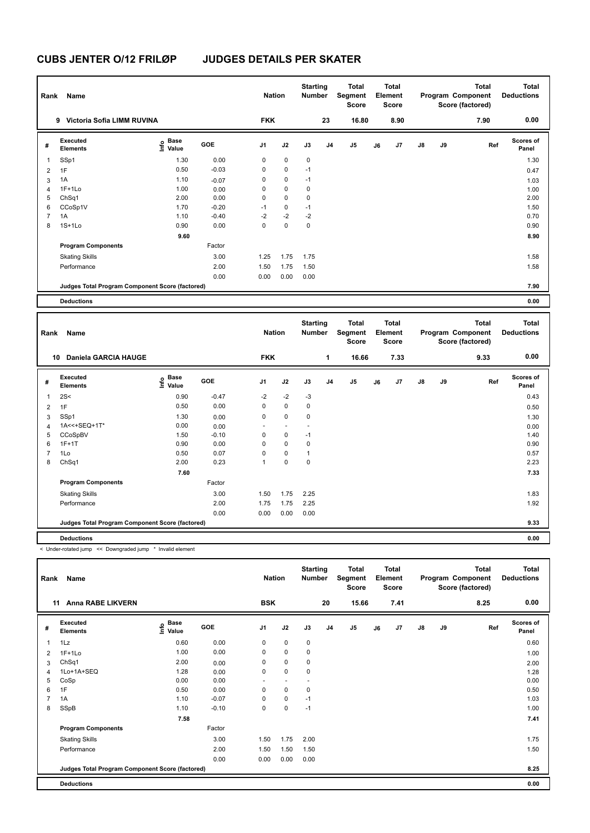| Rank           | Name                                            |                   |         | <b>Nation</b>  |             | <b>Starting</b><br><b>Number</b> |                | Total<br>Segment<br><b>Score</b> |    | <b>Total</b><br>Element<br><b>Score</b> |               |    | <b>Total</b><br>Program Component<br>Score (factored) | <b>Total</b><br><b>Deductions</b> |
|----------------|-------------------------------------------------|-------------------|---------|----------------|-------------|----------------------------------|----------------|----------------------------------|----|-----------------------------------------|---------------|----|-------------------------------------------------------|-----------------------------------|
|                | Victoria Sofia LIMM RUVINA<br>9                 |                   |         | <b>FKK</b>     |             |                                  | 23             | 16.80                            |    | 8.90                                    |               |    | 7.90                                                  | 0.00                              |
| #              | Executed<br><b>Elements</b>                     | e Base<br>⊆ Value | GOE     | J <sub>1</sub> | J2          | J3                               | J <sub>4</sub> | J5                               | J6 | J7                                      | $\mathsf{J}8$ | J9 | Ref                                                   | <b>Scores of</b><br>Panel         |
| 1              | SSp1                                            | 1.30              | 0.00    | 0              | 0           | 0                                |                |                                  |    |                                         |               |    |                                                       | 1.30                              |
| 2              | 1F                                              | 0.50              | $-0.03$ | 0              | 0           | $-1$                             |                |                                  |    |                                         |               |    |                                                       | 0.47                              |
| 3              | 1A                                              | 1.10              | $-0.07$ | 0              | $\mathbf 0$ | $-1$                             |                |                                  |    |                                         |               |    |                                                       | 1.03                              |
| 4              | $1F+1Lo$                                        | 1.00              | 0.00    | 0              | $\pmb{0}$   | 0                                |                |                                  |    |                                         |               |    |                                                       | 1.00                              |
| 5              | ChSq1                                           | 2.00              | 0.00    | 0              | $\mathbf 0$ | 0                                |                |                                  |    |                                         |               |    |                                                       | 2.00                              |
| 6              | CCoSp1V                                         | 1.70              | $-0.20$ | $-1$           | $\pmb{0}$   | $-1$                             |                |                                  |    |                                         |               |    |                                                       | 1.50                              |
| $\overline{7}$ | 1A                                              | 1.10              | $-0.40$ | $-2$           | $-2$        | $-2$                             |                |                                  |    |                                         |               |    |                                                       | 0.70                              |
| 8              | $1S+1L0$                                        | 0.90              | 0.00    | 0              | $\mathbf 0$ | $\mathbf 0$                      |                |                                  |    |                                         |               |    |                                                       | 0.90                              |
|                |                                                 | 9.60              |         |                |             |                                  |                |                                  |    |                                         |               |    |                                                       | 8.90                              |
|                | <b>Program Components</b>                       |                   | Factor  |                |             |                                  |                |                                  |    |                                         |               |    |                                                       |                                   |
|                | <b>Skating Skills</b>                           |                   | 3.00    | 1.25           | 1.75        | 1.75                             |                |                                  |    |                                         |               |    |                                                       | 1.58                              |
|                | Performance                                     |                   | 2.00    | 1.50           | 1.75        | 1.50                             |                |                                  |    |                                         |               |    |                                                       | 1.58                              |
|                |                                                 |                   | 0.00    | 0.00           | 0.00        | 0.00                             |                |                                  |    |                                         |               |    |                                                       |                                   |
|                | Judges Total Program Component Score (factored) |                   |         |                |             |                                  |                |                                  |    |                                         |               |    |                                                       | 7.90                              |
|                | <b>Deductions</b>                               |                   |         |                |             |                                  |                |                                  |    |                                         |               |    |                                                       | 0.00                              |

| Rank           | Name                                            |                                           |         | <b>Nation</b>            |                          | <b>Starting</b><br><b>Number</b> |                | <b>Total</b><br>Segment<br><b>Score</b> |    | Total<br>Element<br><b>Score</b> |               |    | <b>Total</b><br>Program Component<br>Score (factored) | <b>Total</b><br><b>Deductions</b> |
|----------------|-------------------------------------------------|-------------------------------------------|---------|--------------------------|--------------------------|----------------------------------|----------------|-----------------------------------------|----|----------------------------------|---------------|----|-------------------------------------------------------|-----------------------------------|
| 10             | <b>Daniela GARCIA HAUGE</b>                     |                                           |         | <b>FKK</b>               |                          |                                  | 1              | 16.66                                   |    | 7.33                             |               |    | 9.33                                                  | 0.00                              |
| #              | Executed<br><b>Elements</b>                     | $\frac{6}{5}$ Base<br>$\frac{1}{5}$ Value | GOE     | J <sub>1</sub>           | J2                       | J3                               | J <sub>4</sub> | J5                                      | J6 | J7                               | $\mathsf{J}8$ | J9 | Ref                                                   | <b>Scores of</b><br>Panel         |
| $\overline{1}$ | 2S<                                             | 0.90                                      | $-0.47$ | $-2$                     | $-2$                     | $-3$                             |                |                                         |    |                                  |               |    |                                                       | 0.43                              |
| $\overline{2}$ | 1F                                              | 0.50                                      | 0.00    | 0                        | $\mathbf 0$              | $\mathbf 0$                      |                |                                         |    |                                  |               |    |                                                       | 0.50                              |
| 3              | SSp1                                            | 1.30                                      | 0.00    | 0                        | $\mathbf 0$              | $\mathbf 0$                      |                |                                         |    |                                  |               |    |                                                       | 1.30                              |
| $\overline{4}$ | 1A<<+SEQ+1T*                                    | 0.00                                      | 0.00    | $\overline{\phantom{a}}$ | $\overline{\phantom{a}}$ | $\overline{\phantom{a}}$         |                |                                         |    |                                  |               |    |                                                       | 0.00                              |
| 5              | CCoSpBV                                         | 1.50                                      | $-0.10$ | 0                        | 0                        | $-1$                             |                |                                         |    |                                  |               |    |                                                       | 1.40                              |
| 6              | $1F+1T$                                         | 0.90                                      | 0.00    | 0                        | $\mathbf 0$              | 0                                |                |                                         |    |                                  |               |    |                                                       | 0.90                              |
| 7              | 1Lo                                             | 0.50                                      | 0.07    | 0                        | $\mathbf 0$              | 1                                |                |                                         |    |                                  |               |    |                                                       | 0.57                              |
| 8              | ChSq1                                           | 2.00                                      | 0.23    | 1                        | $\mathbf 0$              | 0                                |                |                                         |    |                                  |               |    |                                                       | 2.23                              |
|                |                                                 | 7.60                                      |         |                          |                          |                                  |                |                                         |    |                                  |               |    |                                                       | 7.33                              |
|                | <b>Program Components</b>                       |                                           | Factor  |                          |                          |                                  |                |                                         |    |                                  |               |    |                                                       |                                   |
|                | <b>Skating Skills</b>                           |                                           | 3.00    | 1.50                     | 1.75                     | 2.25                             |                |                                         |    |                                  |               |    |                                                       | 1.83                              |
|                | Performance                                     |                                           | 2.00    | 1.75                     | 1.75                     | 2.25                             |                |                                         |    |                                  |               |    |                                                       | 1.92                              |
|                |                                                 |                                           | 0.00    | 0.00                     | 0.00                     | 0.00                             |                |                                         |    |                                  |               |    |                                                       |                                   |
|                | Judges Total Program Component Score (factored) |                                           |         |                          |                          |                                  |                |                                         |    |                                  |               |    |                                                       | 9.33                              |
|                | <b>Deductions</b>                               |                                           |         |                          |                          |                                  |                |                                         |    |                                  |               |    |                                                       | 0.00                              |

< Under-rotated jump << Downgraded jump \* Invalid element

| Rank | Name                                            |                                    |            | <b>Nation</b>  |                          | <b>Starting</b><br><b>Number</b> |                | <b>Total</b><br>Segment<br>Score |    | <b>Total</b><br>Element<br>Score |               |    | <b>Total</b><br>Program Component<br>Score (factored) | <b>Total</b><br><b>Deductions</b> |
|------|-------------------------------------------------|------------------------------------|------------|----------------|--------------------------|----------------------------------|----------------|----------------------------------|----|----------------------------------|---------------|----|-------------------------------------------------------|-----------------------------------|
|      | <b>Anna RABE LIKVERN</b><br>11                  |                                    |            | <b>BSK</b>     |                          |                                  | 20             | 15.66                            |    | 7.41                             |               |    | 8.25                                                  | 0.00                              |
| #    | Executed<br><b>Elements</b>                     | <b>Base</b><br>$\frac{6}{5}$ Value | <b>GOE</b> | J <sub>1</sub> | J2                       | J3                               | J <sub>4</sub> | J <sub>5</sub>                   | J6 | J7                               | $\mathsf{J}8$ | J9 | Ref                                                   | <b>Scores of</b><br>Panel         |
| 1    | 1Lz                                             | 0.60                               | 0.00       | 0              | $\mathbf 0$              | 0                                |                |                                  |    |                                  |               |    |                                                       | 0.60                              |
| 2    | $1F+1Lo$                                        | 1.00                               | 0.00       | 0              | $\mathbf 0$              | 0                                |                |                                  |    |                                  |               |    |                                                       | 1.00                              |
| 3    | ChSq1                                           | 2.00                               | 0.00       | 0              | $\mathbf 0$              | 0                                |                |                                  |    |                                  |               |    |                                                       | 2.00                              |
| 4    | 1Lo+1A+SEQ                                      | 1.28                               | 0.00       | 0              | $\mathbf 0$              | 0                                |                |                                  |    |                                  |               |    |                                                       | 1.28                              |
| 5    | CoSp                                            | 0.00                               | 0.00       | ٠              | $\overline{\phantom{a}}$ | ٠                                |                |                                  |    |                                  |               |    |                                                       | 0.00                              |
| 6    | 1F                                              | 0.50                               | 0.00       | 0              | $\mathbf 0$              | $\mathbf 0$                      |                |                                  |    |                                  |               |    |                                                       | 0.50                              |
|      | 1A                                              | 1.10                               | $-0.07$    | 0              | $\pmb{0}$                | $-1$                             |                |                                  |    |                                  |               |    |                                                       | 1.03                              |
| 8    | SSpB                                            | 1.10                               | $-0.10$    | 0              | $\pmb{0}$                | $-1$                             |                |                                  |    |                                  |               |    |                                                       | 1.00                              |
|      |                                                 | 7.58                               |            |                |                          |                                  |                |                                  |    |                                  |               |    |                                                       | 7.41                              |
|      | <b>Program Components</b>                       |                                    | Factor     |                |                          |                                  |                |                                  |    |                                  |               |    |                                                       |                                   |
|      | <b>Skating Skills</b>                           |                                    | 3.00       | 1.50           | 1.75                     | 2.00                             |                |                                  |    |                                  |               |    |                                                       | 1.75                              |
|      | Performance                                     |                                    | 2.00       | 1.50           | 1.50                     | 1.50                             |                |                                  |    |                                  |               |    |                                                       | 1.50                              |
|      |                                                 |                                    | 0.00       | 0.00           | 0.00                     | 0.00                             |                |                                  |    |                                  |               |    |                                                       |                                   |
|      | Judges Total Program Component Score (factored) |                                    |            |                |                          |                                  |                |                                  |    |                                  |               |    |                                                       | 8.25                              |
|      | <b>Deductions</b>                               |                                    |            |                |                          |                                  |                |                                  |    |                                  |               |    |                                                       | 0.00                              |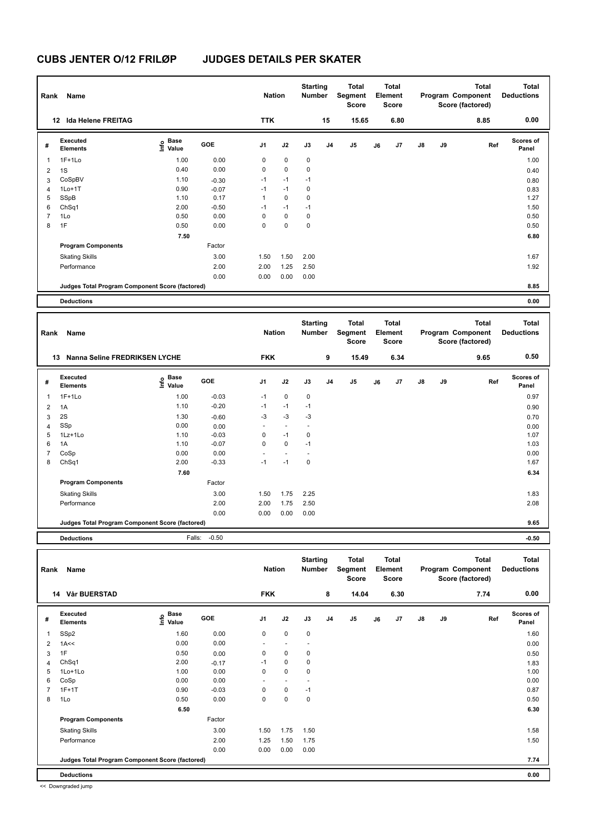| Rank           | <b>Name</b>                                     |                   |         | <b>Nation</b>  |             | <b>Starting</b><br><b>Number</b> |                | <b>Total</b><br>Segment<br><b>Score</b> |    | <b>Total</b><br>Element<br><b>Score</b> |               |    | <b>Total</b><br>Program Component<br>Score (factored) | <b>Total</b><br><b>Deductions</b> |
|----------------|-------------------------------------------------|-------------------|---------|----------------|-------------|----------------------------------|----------------|-----------------------------------------|----|-----------------------------------------|---------------|----|-------------------------------------------------------|-----------------------------------|
|                | 12 Ida Helene FREITAG                           |                   |         | <b>TTK</b>     |             |                                  | 15             | 15.65                                   |    | 6.80                                    |               |    | 8.85                                                  | 0.00                              |
| #              | <b>Executed</b><br>Elements                     | 은 Base<br>트 Value | GOE     | J <sub>1</sub> | J2          | J3                               | J <sub>4</sub> | J <sub>5</sub>                          | J6 | J7                                      | $\mathsf{J}8$ | J9 | Ref                                                   | <b>Scores of</b><br>Panel         |
| 1              | $1F+1Lo$                                        | 1.00              | 0.00    | 0              | 0           | 0                                |                |                                         |    |                                         |               |    |                                                       | 1.00                              |
| $\overline{2}$ | 1S                                              | 0.40              | 0.00    | $\mathbf 0$    | $\mathbf 0$ | 0                                |                |                                         |    |                                         |               |    |                                                       | 0.40                              |
| 3              | CoSpBV                                          | 1.10              | $-0.30$ | $-1$           | $-1$        | $-1$                             |                |                                         |    |                                         |               |    |                                                       | 0.80                              |
| 4              | $1Lo+1T$                                        | 0.90              | $-0.07$ | $-1$           | $-1$        | 0                                |                |                                         |    |                                         |               |    |                                                       | 0.83                              |
| 5              | SSpB                                            | 1.10              | 0.17    | $\mathbf{1}$   | $\mathbf 0$ | $\mathbf 0$                      |                |                                         |    |                                         |               |    |                                                       | 1.27                              |
| 6              | ChSq1                                           | 2.00              | $-0.50$ | $-1$           | $-1$        | $-1$                             |                |                                         |    |                                         |               |    |                                                       | 1.50                              |
| $\overline{7}$ | 1Lo                                             | 0.50              | 0.00    | $\mathbf 0$    | $\mathbf 0$ | 0                                |                |                                         |    |                                         |               |    |                                                       | 0.50                              |
| 8              | 1F                                              | 0.50              | 0.00    | $\Omega$       | $\mathbf 0$ | $\mathbf 0$                      |                |                                         |    |                                         |               |    |                                                       | 0.50                              |
|                |                                                 | 7.50              |         |                |             |                                  |                |                                         |    |                                         |               |    |                                                       | 6.80                              |
|                | <b>Program Components</b>                       |                   | Factor  |                |             |                                  |                |                                         |    |                                         |               |    |                                                       |                                   |
|                | <b>Skating Skills</b>                           |                   | 3.00    | 1.50           | 1.50        | 2.00                             |                |                                         |    |                                         |               |    |                                                       | 1.67                              |
|                | Performance                                     |                   | 2.00    | 2.00           | 1.25        | 2.50                             |                |                                         |    |                                         |               |    |                                                       | 1.92                              |
|                |                                                 |                   | 0.00    | 0.00           | 0.00        | 0.00                             |                |                                         |    |                                         |               |    |                                                       |                                   |
|                | Judges Total Program Component Score (factored) |                   |         |                |             |                                  |                |                                         |    |                                         |               |    |                                                       | 8.85                              |
|                | <b>Deductions</b>                               |                   |         |                |             |                                  |                |                                         |    |                                         |               |    |                                                       | 0.00                              |
| Rank           | Name                                            |                   |         | <b>Nation</b>  |             | <b>Starting</b><br><b>Number</b> |                | <b>Total</b><br>Segment<br><b>Score</b> |    | <b>Total</b><br>Element<br><b>Score</b> |               |    | <b>Total</b><br>Program Component<br>Score (factored) | <b>Total</b><br><b>Deductions</b> |
|                | Nanna Seline FREDRIKSEN LYCHE<br>13             |                   |         | <b>FKK</b>     |             |                                  | 9              | 15.49                                   |    | 6.34                                    |               |    | 9.65                                                  | 0.50                              |
| #              | <b>Executed</b><br><b>Elements</b>              | e Base<br>E Value | GOE     | J <sub>1</sub> | J2          | J3                               | J <sub>4</sub> | J <sub>5</sub>                          | J6 | J7                                      | $\mathsf{J}8$ | J9 | Ref                                                   | <b>Scores of</b><br>Panel         |
| 1              | $1F+1Lo$                                        | 1.00              | $-0.03$ | $-1$           | $\pmb{0}$   | 0                                |                |                                         |    |                                         |               |    |                                                       | 0.97                              |
| 2              | 1A                                              | 1.10              | $-0.20$ | $-1$           | $-1$        | $-1$                             |                |                                         |    |                                         |               |    |                                                       | 0.90                              |

 $3 \quad 2$ S 1.30  $-0.60$   $-3 \quad -3$   $-3$   $-3$  SSp 0.00 0.00 - - - 0.00 1Lz+1Lo 1.10 -0.03 0 -1 0 1.07 1A 1.10  $1.10$   $-0.07$  0  $0$   $-1$  CoSp 0.00 0.00 - - - 0.00 ChSq1 2.00 -0.33 -1 -1 0 1.67

Skating Skills 1.50 1.75 2.25 3.00 1.83

Performance 2.00 2.00 2.00 1.75 2.50 2.08 2.08 2.08 2.08

**Judges Total Program Component Score (factored) 9.65**

0.00 0.00 0.00 0.00

Factor

 **7.60 6.34**

|                | <b>Deductions</b>                               | Falls:                           | $-0.50$ |                |                      |                                  |                |                                         |    |                                         |               |    |                                                       | $-0.50$                           |
|----------------|-------------------------------------------------|----------------------------------|---------|----------------|----------------------|----------------------------------|----------------|-----------------------------------------|----|-----------------------------------------|---------------|----|-------------------------------------------------------|-----------------------------------|
| Rank           | <b>Name</b>                                     |                                  |         | <b>Nation</b>  |                      | <b>Starting</b><br><b>Number</b> |                | <b>Total</b><br>Segment<br><b>Score</b> |    | <b>Total</b><br>Element<br><b>Score</b> |               |    | <b>Total</b><br>Program Component<br>Score (factored) | <b>Total</b><br><b>Deductions</b> |
|                | 14 Vår BUERSTAD                                 |                                  |         | <b>FKK</b>     |                      |                                  | 8              | 14.04                                   |    | 6.30                                    |               |    | 7.74                                                  | 0.00                              |
| #              | Executed<br><b>Elements</b>                     | <b>Base</b><br>e Base<br>⊆ Value | GOE     | J <sub>1</sub> | J2                   | J3                               | J <sub>4</sub> | J5                                      | J6 | J <sub>7</sub>                          | $\mathsf{J}8$ | J9 | Ref                                                   | Scores of<br>Panel                |
| $\mathbf{1}$   | SSp2                                            | 1.60                             | 0.00    | 0              | $\mathbf 0$          | $\mathbf 0$                      |                |                                         |    |                                         |               |    |                                                       | 1.60                              |
| $\overline{2}$ | 1A<<                                            | 0.00                             | 0.00    |                |                      |                                  |                |                                         |    |                                         |               |    |                                                       | 0.00                              |
| 3              | 1F                                              | 0.50                             | 0.00    | 0              | $\mathbf 0$          | 0                                |                |                                         |    |                                         |               |    |                                                       | 0.50                              |
| $\overline{4}$ | ChSq1                                           | 2.00                             | $-0.17$ | $-1$           | $\mathbf 0$          | 0                                |                |                                         |    |                                         |               |    |                                                       | 1.83                              |
| 5              | 1Lo+1Lo                                         | 1.00                             | 0.00    | 0              | $\mathbf 0$          | $\mathbf 0$                      |                |                                         |    |                                         |               |    |                                                       | 1.00                              |
| 6              | CoSp                                            | 0.00                             | 0.00    | $\sim$         | $\ddot{\phantom{1}}$ | $\sim$                           |                |                                         |    |                                         |               |    |                                                       | 0.00                              |
| $\overline{7}$ | $1F+1T$                                         | 0.90                             | $-0.03$ | 0              | $\pmb{0}$            | $-1$                             |                |                                         |    |                                         |               |    |                                                       | 0.87                              |
| 8              | 1Lo                                             | 0.50                             | 0.00    | $\Omega$       | $\mathbf 0$          | $\mathbf 0$                      |                |                                         |    |                                         |               |    |                                                       | 0.50                              |
|                |                                                 | 6.50                             |         |                |                      |                                  |                |                                         |    |                                         |               |    |                                                       | 6.30                              |
|                | <b>Program Components</b>                       |                                  | Factor  |                |                      |                                  |                |                                         |    |                                         |               |    |                                                       |                                   |
|                | <b>Skating Skills</b>                           |                                  | 3.00    | 1.50           | 1.75                 | 1.50                             |                |                                         |    |                                         |               |    |                                                       | 1.58                              |
|                | Performance                                     |                                  | 2.00    | 1.25           | 1.50                 | 1.75                             |                |                                         |    |                                         |               |    |                                                       | 1.50                              |
|                |                                                 |                                  | 0.00    | 0.00           | 0.00                 | 0.00                             |                |                                         |    |                                         |               |    |                                                       |                                   |
|                | Judges Total Program Component Score (factored) |                                  |         |                |                      |                                  |                |                                         |    |                                         |               |    |                                                       | 7.74                              |
|                | <b>Deductions</b>                               |                                  |         |                |                      |                                  |                |                                         |    |                                         |               |    |                                                       | 0.00                              |

<< Downgraded jump

**Program Components**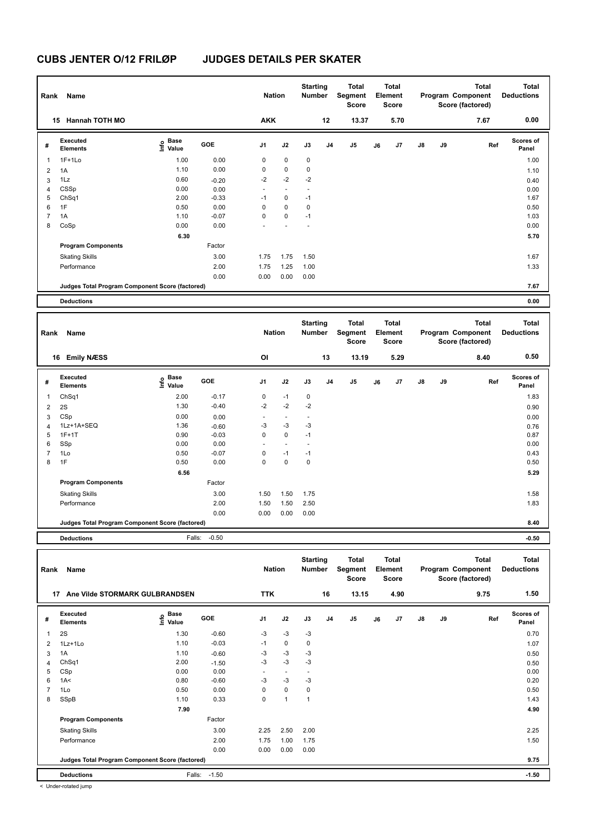| Rank           | Name                                            |                                  |            | <b>Nation</b>            |                          | <b>Starting</b><br><b>Number</b> |                | <b>Total</b><br>Segment<br><b>Score</b> |    | <b>Total</b><br>Element<br><b>Score</b> |               |    | <b>Total</b><br>Program Component<br>Score (factored) | <b>Total</b><br><b>Deductions</b> |
|----------------|-------------------------------------------------|----------------------------------|------------|--------------------------|--------------------------|----------------------------------|----------------|-----------------------------------------|----|-----------------------------------------|---------------|----|-------------------------------------------------------|-----------------------------------|
|                | <b>Hannah TOTH MO</b><br>15                     |                                  |            | <b>AKK</b>               |                          |                                  | 12             | 13.37                                   |    | 5.70                                    |               |    | 7.67                                                  | 0.00                              |
| #              | Executed<br><b>Elements</b>                     | <b>Base</b><br>o Base<br>⊆ Value | <b>GOE</b> | J <sub>1</sub>           | J2                       | J3                               | J <sub>4</sub> | J <sub>5</sub>                          | J6 | J7                                      | $\mathsf{J}8$ | J9 | Ref                                                   | <b>Scores of</b><br>Panel         |
| 1              | $1F+1Lo$                                        | 1.00                             | 0.00       | 0                        | $\mathbf 0$              | $\mathbf 0$                      |                |                                         |    |                                         |               |    |                                                       | 1.00                              |
| $\overline{2}$ | 1A                                              | 1.10                             | 0.00       | 0                        | 0                        | 0                                |                |                                         |    |                                         |               |    |                                                       | 1.10                              |
| 3              | 1Lz                                             | 0.60                             | $-0.20$    | $-2$                     | $-2$                     | $-2$                             |                |                                         |    |                                         |               |    |                                                       | 0.40                              |
| $\overline{4}$ | CSSp                                            | 0.00                             | 0.00       | $\overline{\phantom{a}}$ | $\overline{\phantom{a}}$ |                                  |                |                                         |    |                                         |               |    |                                                       | 0.00                              |
| 5              | ChSq1                                           | 2.00                             | $-0.33$    | $-1$                     | 0                        | $-1$                             |                |                                         |    |                                         |               |    |                                                       | 1.67                              |
| 6              | 1F                                              | 0.50                             | 0.00       | 0                        | 0                        | 0                                |                |                                         |    |                                         |               |    |                                                       | 0.50                              |
| 7              | 1A                                              | 1.10                             | $-0.07$    | 0                        | $\mathbf 0$              | $-1$                             |                |                                         |    |                                         |               |    |                                                       | 1.03                              |
| 8              | CoSp                                            | 0.00                             | 0.00       |                          |                          |                                  |                |                                         |    |                                         |               |    |                                                       | 0.00                              |
|                |                                                 | 6.30                             |            |                          |                          |                                  |                |                                         |    |                                         |               |    |                                                       | 5.70                              |
|                | <b>Program Components</b>                       |                                  | Factor     |                          |                          |                                  |                |                                         |    |                                         |               |    |                                                       |                                   |
|                | <b>Skating Skills</b>                           |                                  | 3.00       | 1.75                     | 1.75                     | 1.50                             |                |                                         |    |                                         |               |    |                                                       | 1.67                              |
|                | Performance                                     |                                  | 2.00       | 1.75                     | 1.25                     | 1.00                             |                |                                         |    |                                         |               |    |                                                       | 1.33                              |
|                |                                                 |                                  | 0.00       | 0.00                     | 0.00                     | 0.00                             |                |                                         |    |                                         |               |    |                                                       |                                   |
|                | Judges Total Program Component Score (factored) |                                  |            |                          |                          |                                  |                |                                         |    |                                         |               |    |                                                       | 7.67                              |
|                | <b>Deductions</b>                               |                                  |            |                          |                          |                                  |                |                                         |    |                                         |               |    |                                                       | 0.00                              |
|                |                                                 |                                  |            |                          |                          |                                  |                |                                         |    |                                         |               |    |                                                       |                                   |

| 0.50<br>OI<br>13<br>13.19<br><b>Emily NÆSS</b><br>5.29<br>8.40<br>16<br>Executed<br><b>Scores of</b><br>Base<br>e Base<br>⊆ Value<br>GOE<br>J2<br>J <sub>1</sub><br>J3<br>J <sub>5</sub><br>$\mathsf{J}8$<br>J9<br>J <sub>4</sub><br>J <sub>7</sub><br>Ref<br>J6<br>#<br><b>Elements</b><br>Panel<br>2.00<br>$-1$<br>$\mathbf 0$<br>ChSq1<br>$-0.17$<br>0<br>$\overline{\phantom{a}}$<br>$-2$<br>$-2$<br>$-2$<br>1.30<br>$-0.40$<br>2S<br>$\overline{2}$<br>CSp<br>0.00<br>0.00<br>3<br>$\overline{\phantom{0}}$<br>$\overline{\phantom{a}}$<br>$\overline{\phantom{a}}$<br>$-3$<br>$-3$<br>$-3$<br>1Lz+1A+SEQ<br>1.36<br>$-0.60$<br>$\overline{4}$<br>$\mathbf 0$<br>$1F+1T$<br>0.90<br>$-0.03$<br>0<br>$-1$<br>0.87<br>5<br>SSp<br>0.00<br>0.00<br>6<br>1Lo<br>$-1$<br>7<br>$-0.07$<br>0<br>$-1$<br>0.50<br>1F<br>0.00<br>$\mathbf 0$<br>$\mathbf 0$<br>0<br>8<br>0.50<br>6.56 | <b>Total</b><br><b>Deductions</b> |
|----------------------------------------------------------------------------------------------------------------------------------------------------------------------------------------------------------------------------------------------------------------------------------------------------------------------------------------------------------------------------------------------------------------------------------------------------------------------------------------------------------------------------------------------------------------------------------------------------------------------------------------------------------------------------------------------------------------------------------------------------------------------------------------------------------------------------------------------------------------------------------|-----------------------------------|
|                                                                                                                                                                                                                                                                                                                                                                                                                                                                                                                                                                                                                                                                                                                                                                                                                                                                                  |                                   |
|                                                                                                                                                                                                                                                                                                                                                                                                                                                                                                                                                                                                                                                                                                                                                                                                                                                                                  |                                   |
|                                                                                                                                                                                                                                                                                                                                                                                                                                                                                                                                                                                                                                                                                                                                                                                                                                                                                  | 1.83                              |
|                                                                                                                                                                                                                                                                                                                                                                                                                                                                                                                                                                                                                                                                                                                                                                                                                                                                                  | 0.90                              |
|                                                                                                                                                                                                                                                                                                                                                                                                                                                                                                                                                                                                                                                                                                                                                                                                                                                                                  | 0.00                              |
|                                                                                                                                                                                                                                                                                                                                                                                                                                                                                                                                                                                                                                                                                                                                                                                                                                                                                  | 0.76                              |
|                                                                                                                                                                                                                                                                                                                                                                                                                                                                                                                                                                                                                                                                                                                                                                                                                                                                                  |                                   |
|                                                                                                                                                                                                                                                                                                                                                                                                                                                                                                                                                                                                                                                                                                                                                                                                                                                                                  | 0.00                              |
|                                                                                                                                                                                                                                                                                                                                                                                                                                                                                                                                                                                                                                                                                                                                                                                                                                                                                  | 0.43                              |
|                                                                                                                                                                                                                                                                                                                                                                                                                                                                                                                                                                                                                                                                                                                                                                                                                                                                                  | 0.50                              |
|                                                                                                                                                                                                                                                                                                                                                                                                                                                                                                                                                                                                                                                                                                                                                                                                                                                                                  | 5.29                              |
| Factor<br><b>Program Components</b>                                                                                                                                                                                                                                                                                                                                                                                                                                                                                                                                                                                                                                                                                                                                                                                                                                              |                                   |
| 1.50<br>3.00<br>1.50<br>1.75<br><b>Skating Skills</b>                                                                                                                                                                                                                                                                                                                                                                                                                                                                                                                                                                                                                                                                                                                                                                                                                            | 1.58                              |
| 1.50<br>Performance<br>2.00<br>1.50<br>2.50                                                                                                                                                                                                                                                                                                                                                                                                                                                                                                                                                                                                                                                                                                                                                                                                                                      | 1.83                              |
| 0.00<br>0.00<br>0.00<br>0.00                                                                                                                                                                                                                                                                                                                                                                                                                                                                                                                                                                                                                                                                                                                                                                                                                                                     |                                   |
| Judges Total Program Component Score (factored)                                                                                                                                                                                                                                                                                                                                                                                                                                                                                                                                                                                                                                                                                                                                                                                                                                  | 8.40                              |

**Deductions** Falls: -0.50 **-0.50**

| Rank           | Name                                            |                           |         | <b>Nation</b>  |                | <b>Starting</b><br><b>Number</b> |                | <b>Total</b><br>Segment<br><b>Score</b> |    | Total<br>Element<br><b>Score</b> |               |    | <b>Total</b><br>Program Component<br>Score (factored) | <b>Total</b><br><b>Deductions</b> |
|----------------|-------------------------------------------------|---------------------------|---------|----------------|----------------|----------------------------------|----------------|-----------------------------------------|----|----------------------------------|---------------|----|-------------------------------------------------------|-----------------------------------|
|                | Ane Vilde STORMARK GULBRANDSEN<br>17            |                           |         | <b>TTK</b>     |                |                                  | 16             | 13.15                                   |    | 4.90                             |               |    | 9.75                                                  | 1.50                              |
| #              | Executed<br><b>Elements</b>                     | Base<br>e Base<br>⊆ Value | GOE     | J <sub>1</sub> | J2             | J3                               | J <sub>4</sub> | J5                                      | J6 | J7                               | $\mathsf{J}8$ | J9 | Ref                                                   | <b>Scores of</b><br>Panel         |
| $\overline{1}$ | 2S                                              | 1.30                      | $-0.60$ | $-3$           | $-3$           | $-3$                             |                |                                         |    |                                  |               |    |                                                       | 0.70                              |
| 2              | $1Lz+1Lo$                                       | 1.10                      | $-0.03$ | $-1$           | $\mathbf 0$    | $\mathbf 0$                      |                |                                         |    |                                  |               |    |                                                       | 1.07                              |
| 3              | 1A                                              | 1.10                      | $-0.60$ | $-3$           | $-3$           | $-3$                             |                |                                         |    |                                  |               |    |                                                       | 0.50                              |
| 4              | ChSq1                                           | 2.00                      | $-1.50$ | $-3$           | $-3$           | $-3$                             |                |                                         |    |                                  |               |    |                                                       | 0.50                              |
| 5              | CSp                                             | 0.00                      | 0.00    | $\sim$         | $\blacksquare$ |                                  |                |                                         |    |                                  |               |    |                                                       | 0.00                              |
| 6              | 1A<                                             | 0.80                      | $-0.60$ | $-3$           | $-3$           | $-3$                             |                |                                         |    |                                  |               |    |                                                       | 0.20                              |
| $\overline{7}$ | 1Lo                                             | 0.50                      | 0.00    | 0              | $\mathbf 0$    | 0                                |                |                                         |    |                                  |               |    |                                                       | 0.50                              |
| 8              | SSpB                                            | 1.10                      | 0.33    | 0              | $\mathbf{1}$   | $\mathbf{1}$                     |                |                                         |    |                                  |               |    |                                                       | 1.43                              |
|                |                                                 | 7.90                      |         |                |                |                                  |                |                                         |    |                                  |               |    |                                                       | 4.90                              |
|                | <b>Program Components</b>                       |                           | Factor  |                |                |                                  |                |                                         |    |                                  |               |    |                                                       |                                   |
|                | <b>Skating Skills</b>                           |                           | 3.00    | 2.25           | 2.50           | 2.00                             |                |                                         |    |                                  |               |    |                                                       | 2.25                              |
|                | Performance                                     |                           | 2.00    | 1.75           | 1.00           | 1.75                             |                |                                         |    |                                  |               |    |                                                       | 1.50                              |
|                |                                                 |                           | 0.00    | 0.00           | 0.00           | 0.00                             |                |                                         |    |                                  |               |    |                                                       |                                   |
|                | Judges Total Program Component Score (factored) |                           |         |                |                |                                  |                |                                         |    |                                  |               |    |                                                       | 9.75                              |
|                | <b>Deductions</b>                               | Falls:                    | $-1.50$ |                |                |                                  |                |                                         |    |                                  |               |    |                                                       | $-1.50$                           |

< Under-rotated jump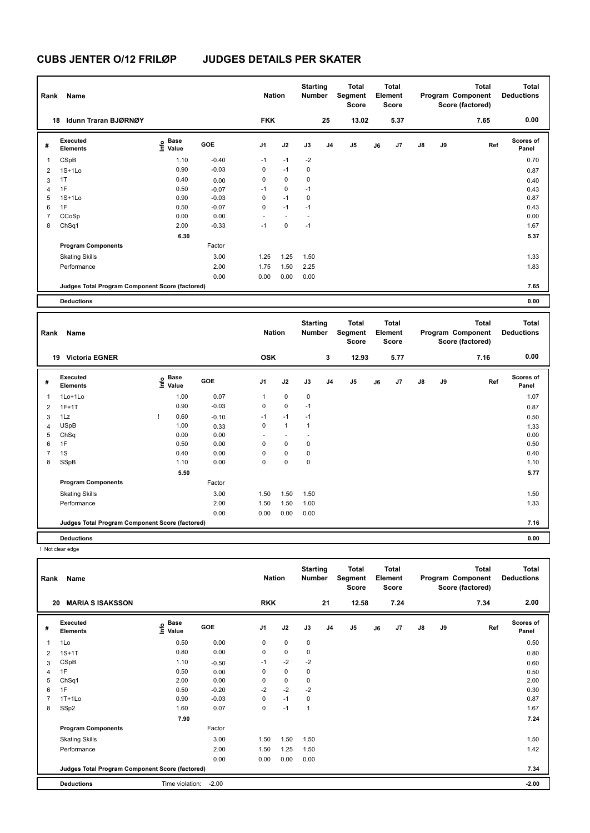| Rank           | Name                                            |                           |         | <b>Nation</b>  |                | <b>Starting</b><br><b>Number</b> |                | <b>Total</b><br>Segment<br><b>Score</b> |    | Total<br>Element<br>Score |               |    | <b>Total</b><br>Program Component<br>Score (factored) | <b>Total</b><br><b>Deductions</b> |
|----------------|-------------------------------------------------|---------------------------|---------|----------------|----------------|----------------------------------|----------------|-----------------------------------------|----|---------------------------|---------------|----|-------------------------------------------------------|-----------------------------------|
|                | Idunn Traran BJØRNØY<br>18                      |                           |         | <b>FKK</b>     |                |                                  | 25             | 13.02                                   |    | 5.37                      |               |    | 7.65                                                  | 0.00                              |
| #              | Executed<br><b>Elements</b>                     | Base<br>o Base<br>⊆ Value | GOE     | J <sub>1</sub> | J2             | J3                               | J <sub>4</sub> | J5                                      | J6 | J7                        | $\mathsf{J}8$ | J9 | Ref                                                   | Scores of<br>Panel                |
| $\overline{1}$ | CSpB                                            | 1.10                      | $-0.40$ | $-1$           | $-1$           | $-2$                             |                |                                         |    |                           |               |    |                                                       | 0.70                              |
| 2              | $1S+1Lo$                                        | 0.90                      | $-0.03$ | 0              | $-1$           | 0                                |                |                                         |    |                           |               |    |                                                       | 0.87                              |
| 3              | 1T                                              | 0.40                      | 0.00    | 0              | $\mathbf 0$    | $\mathbf 0$                      |                |                                         |    |                           |               |    |                                                       | 0.40                              |
| 4              | 1F                                              | 0.50                      | $-0.07$ | $-1$           | $\mathbf 0$    | $-1$                             |                |                                         |    |                           |               |    |                                                       | 0.43                              |
| 5              | $1S+1Lo$                                        | 0.90                      | $-0.03$ | 0              | $-1$           | $\mathbf 0$                      |                |                                         |    |                           |               |    |                                                       | 0.87                              |
| 6              | 1F                                              | 0.50                      | $-0.07$ | $\mathbf 0$    | $-1$           | $-1$                             |                |                                         |    |                           |               |    |                                                       | 0.43                              |
| $\overline{7}$ | CCoSp                                           | 0.00                      | 0.00    | $\sim$         | $\blacksquare$ | $\overline{\phantom{a}}$         |                |                                         |    |                           |               |    |                                                       | 0.00                              |
| 8              | ChSq1                                           | 2.00                      | $-0.33$ | $-1$           | $\mathbf 0$    | $-1$                             |                |                                         |    |                           |               |    |                                                       | 1.67                              |
|                |                                                 | 6.30                      |         |                |                |                                  |                |                                         |    |                           |               |    |                                                       | 5.37                              |
|                | <b>Program Components</b>                       |                           | Factor  |                |                |                                  |                |                                         |    |                           |               |    |                                                       |                                   |
|                | <b>Skating Skills</b>                           |                           | 3.00    | 1.25           | 1.25           | 1.50                             |                |                                         |    |                           |               |    |                                                       | 1.33                              |
|                | Performance                                     |                           | 2.00    | 1.75           | 1.50           | 2.25                             |                |                                         |    |                           |               |    |                                                       | 1.83                              |
|                |                                                 |                           | 0.00    | 0.00           | 0.00           | 0.00                             |                |                                         |    |                           |               |    |                                                       |                                   |
|                | Judges Total Program Component Score (factored) |                           |         |                |                |                                  |                |                                         |    |                           |               |    |                                                       | 7.65                              |
|                | <b>Deductions</b>                               |                           |         |                |                |                                  |                |                                         |    |                           |               |    |                                                       | 0.00                              |

|                | Name<br>Rank                                    |   |                           |         |            | <b>Nation</b> | <b>Starting</b><br><b>Number</b> |                | <b>Total</b><br>Segment<br><b>Score</b> |    | <b>Total</b><br>Element<br><b>Score</b> |               |    | <b>Total</b><br>Program Component<br>Score (factored) | <b>Total</b><br><b>Deductions</b> |
|----------------|-------------------------------------------------|---|---------------------------|---------|------------|---------------|----------------------------------|----------------|-----------------------------------------|----|-----------------------------------------|---------------|----|-------------------------------------------------------|-----------------------------------|
|                | <b>Victoria EGNER</b><br>19                     |   |                           |         | <b>OSK</b> |               |                                  | 3              | 12.93                                   |    | 5.77                                    |               |    | 7.16                                                  | 0.00                              |
| #              | Executed<br><b>Elements</b>                     |   | Base<br>e Base<br>⊆ Value | GOE     | J1         | J2            | J3                               | J <sub>4</sub> | J <sub>5</sub>                          | J6 | J7                                      | $\mathsf{J}8$ | J9 | Ref                                                   | <b>Scores of</b><br>Panel         |
| 1              | 1Lo+1Lo                                         |   | 1.00                      | 0.07    | 1          | 0             | 0                                |                |                                         |    |                                         |               |    |                                                       | 1.07                              |
| 2              | $1F+1T$                                         |   | 0.90                      | $-0.03$ | 0          | 0             | $-1$                             |                |                                         |    |                                         |               |    |                                                       | 0.87                              |
| 3              | 1Lz                                             | т | 0.60                      | $-0.10$ | $-1$       | $-1$          | $-1$                             |                |                                         |    |                                         |               |    |                                                       | 0.50                              |
| 4              | <b>USpB</b>                                     |   | 1.00                      | 0.33    | 0          | $\mathbf{1}$  | $\mathbf{1}$                     |                |                                         |    |                                         |               |    |                                                       | 1.33                              |
| 5              | ChSq                                            |   | 0.00                      | 0.00    |            |               |                                  |                |                                         |    |                                         |               |    |                                                       | 0.00                              |
| 6              | 1F                                              |   | 0.50                      | 0.00    | 0          | $\mathbf 0$   | 0                                |                |                                         |    |                                         |               |    |                                                       | 0.50                              |
| $\overline{7}$ | 1S                                              |   | 0.40                      | 0.00    | 0          | 0             | 0                                |                |                                         |    |                                         |               |    |                                                       | 0.40                              |
| 8              | SSpB                                            |   | 1.10                      | 0.00    | 0          | 0             | 0                                |                |                                         |    |                                         |               |    |                                                       | 1.10                              |
|                |                                                 |   | 5.50                      |         |            |               |                                  |                |                                         |    |                                         |               |    |                                                       | 5.77                              |
|                | <b>Program Components</b>                       |   |                           | Factor  |            |               |                                  |                |                                         |    |                                         |               |    |                                                       |                                   |
|                | <b>Skating Skills</b>                           |   |                           | 3.00    | 1.50       | 1.50          | 1.50                             |                |                                         |    |                                         |               |    |                                                       | 1.50                              |
|                | Performance                                     |   |                           | 2.00    | 1.50       | 1.50          | 1.00                             |                |                                         |    |                                         |               |    |                                                       | 1.33                              |
|                |                                                 |   |                           | 0.00    | 0.00       | 0.00          | 0.00                             |                |                                         |    |                                         |               |    |                                                       |                                   |
|                | Judges Total Program Component Score (factored) |   |                           |         |            |               |                                  |                |                                         |    |                                         |               |    |                                                       | 7.16                              |
|                | <b>Deductions</b>                               |   |                           |         |            |               |                                  |                |                                         |    |                                         |               |    |                                                       | 0.00                              |

! Not clear edge

| Rank           | Name                                            |                              |         | <b>Nation</b>  |             | <b>Starting</b><br><b>Number</b> |                | Total<br>Segment<br><b>Score</b> |    | <b>Total</b><br>Element<br><b>Score</b> |               |    | <b>Total</b><br>Program Component<br>Score (factored) | <b>Total</b><br><b>Deductions</b> |
|----------------|-------------------------------------------------|------------------------------|---------|----------------|-------------|----------------------------------|----------------|----------------------------------|----|-----------------------------------------|---------------|----|-------------------------------------------------------|-----------------------------------|
| 20             | <b>MARIA S ISAKSSON</b>                         |                              |         | <b>RKK</b>     |             |                                  | 21             | 12.58                            |    | 7.24                                    |               |    | 7.34                                                  | 2.00                              |
| #              | Executed<br><b>Elements</b>                     | <b>Base</b><br>Info<br>Value | GOE     | J <sub>1</sub> | J2          | J3                               | J <sub>4</sub> | J <sub>5</sub>                   | J6 | J7                                      | $\mathsf{J}8$ | J9 | Ref                                                   | <b>Scores of</b><br>Panel         |
| $\mathbf{1}$   | 1Lo                                             | 0.50                         | 0.00    | 0              | $\mathbf 0$ | 0                                |                |                                  |    |                                         |               |    |                                                       | 0.50                              |
| $\overline{2}$ | $1S+1T$                                         | 0.80                         | 0.00    | 0              | $\mathbf 0$ | $\mathbf 0$                      |                |                                  |    |                                         |               |    |                                                       | 0.80                              |
| 3              | CSpB                                            | 1.10                         | $-0.50$ | $-1$           | $-2$        | $-2$                             |                |                                  |    |                                         |               |    |                                                       | 0.60                              |
| $\overline{4}$ | 1F                                              | 0.50                         | 0.00    | 0              | $\mathbf 0$ | 0                                |                |                                  |    |                                         |               |    |                                                       | 0.50                              |
| 5              | ChSq1                                           | 2.00                         | 0.00    | 0              | 0           | 0                                |                |                                  |    |                                         |               |    |                                                       | 2.00                              |
| 6              | 1F                                              | 0.50                         | $-0.20$ | $-2$           | $-2$        | $-2$                             |                |                                  |    |                                         |               |    |                                                       | 0.30                              |
| $\overline{7}$ | $1T+1L0$                                        | 0.90                         | $-0.03$ | $\mathbf 0$    | $-1$        | 0                                |                |                                  |    |                                         |               |    |                                                       | 0.87                              |
| 8              | SSp2                                            | 1.60                         | 0.07    | $\mathbf 0$    | $-1$        | 1                                |                |                                  |    |                                         |               |    |                                                       | 1.67                              |
|                |                                                 | 7.90                         |         |                |             |                                  |                |                                  |    |                                         |               |    |                                                       | 7.24                              |
|                | <b>Program Components</b>                       |                              | Factor  |                |             |                                  |                |                                  |    |                                         |               |    |                                                       |                                   |
|                | <b>Skating Skills</b>                           |                              | 3.00    | 1.50           | 1.50        | 1.50                             |                |                                  |    |                                         |               |    |                                                       | 1.50                              |
|                | Performance                                     |                              | 2.00    | 1.50           | 1.25        | 1.50                             |                |                                  |    |                                         |               |    |                                                       | 1.42                              |
|                |                                                 |                              | 0.00    | 0.00           | 0.00        | 0.00                             |                |                                  |    |                                         |               |    |                                                       |                                   |
|                | Judges Total Program Component Score (factored) |                              |         |                |             |                                  |                |                                  |    |                                         |               |    |                                                       | 7.34                              |
|                | <b>Deductions</b>                               | Time violation:              | $-2.00$ |                |             |                                  |                |                                  |    |                                         |               |    |                                                       | $-2.00$                           |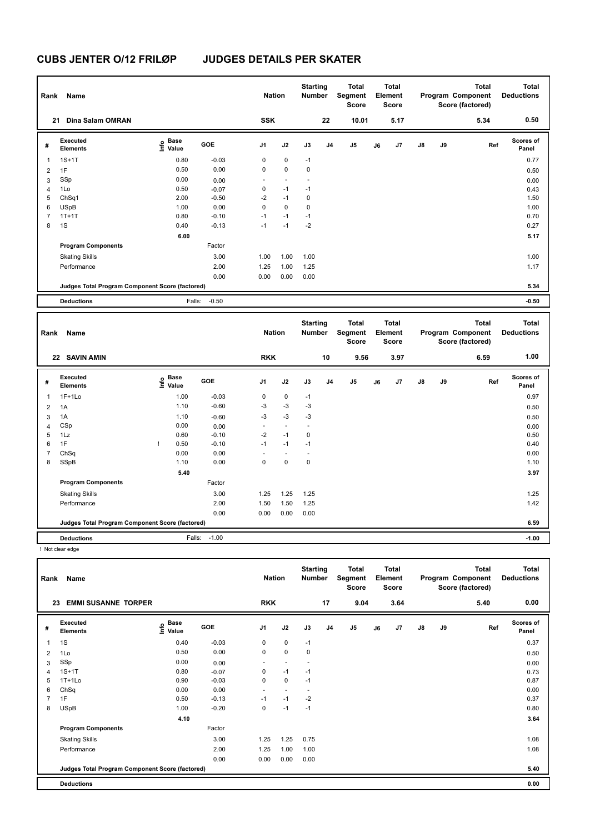| Rank<br>21     | Name<br>Dina Salam OMRAN                        |                                  |         | <b>Nation</b><br><b>SSK</b> |             | <b>Starting</b><br><b>Number</b> | 22             | <b>Total</b><br>Segment<br><b>Score</b><br>10.01 |    | Total<br>Element<br><b>Score</b><br>5.17 |               |    | <b>Total</b><br>Program Component<br>Score (factored)<br>5.34 | <b>Total</b><br><b>Deductions</b><br>0.50 |
|----------------|-------------------------------------------------|----------------------------------|---------|-----------------------------|-------------|----------------------------------|----------------|--------------------------------------------------|----|------------------------------------------|---------------|----|---------------------------------------------------------------|-------------------------------------------|
|                |                                                 |                                  |         |                             |             |                                  |                |                                                  |    |                                          |               |    |                                                               |                                           |
| #              | Executed<br><b>Elements</b>                     | <b>Base</b><br>e Base<br>⊆ Value | GOE     | J <sub>1</sub>              | J2          | J3                               | J <sub>4</sub> | J <sub>5</sub>                                   | J6 | J7                                       | $\mathsf{J}8$ | J9 | Ref                                                           | <b>Scores of</b><br>Panel                 |
| $\overline{1}$ | $1S+1T$                                         | 0.80                             | $-0.03$ | 0                           | $\mathbf 0$ | $-1$                             |                |                                                  |    |                                          |               |    |                                                               | 0.77                                      |
| $\overline{2}$ | 1F                                              | 0.50                             | 0.00    | 0                           | 0           | $\pmb{0}$                        |                |                                                  |    |                                          |               |    |                                                               | 0.50                                      |
| 3              | SSp                                             | 0.00                             | 0.00    | $\overline{\phantom{a}}$    |             |                                  |                |                                                  |    |                                          |               |    |                                                               | 0.00                                      |
| 4              | 1Lo                                             | 0.50                             | $-0.07$ | 0                           | $-1$        | $-1$                             |                |                                                  |    |                                          |               |    |                                                               | 0.43                                      |
| 5              | ChSq1                                           | 2.00                             | $-0.50$ | $-2$                        | $-1$        | $\mathbf 0$                      |                |                                                  |    |                                          |               |    |                                                               | 1.50                                      |
| 6              | <b>USpB</b>                                     | 1.00                             | 0.00    | 0                           | $\mathbf 0$ | $\mathbf 0$                      |                |                                                  |    |                                          |               |    |                                                               | 1.00                                      |
| $\overline{7}$ | $1T+1T$                                         | 0.80                             | $-0.10$ | $-1$                        | $-1$        | $-1$                             |                |                                                  |    |                                          |               |    |                                                               | 0.70                                      |
| 8              | 1S                                              | 0.40                             | $-0.13$ | $-1$                        | $-1$        | $-2$                             |                |                                                  |    |                                          |               |    |                                                               | 0.27                                      |
|                |                                                 | 6.00                             |         |                             |             |                                  |                |                                                  |    |                                          |               |    |                                                               | 5.17                                      |
|                | <b>Program Components</b>                       |                                  | Factor  |                             |             |                                  |                |                                                  |    |                                          |               |    |                                                               |                                           |
|                | <b>Skating Skills</b>                           |                                  | 3.00    | 1.00                        | 1.00        | 1.00                             |                |                                                  |    |                                          |               |    |                                                               | 1.00                                      |
|                | Performance                                     |                                  | 2.00    | 1.25                        | 1.00        | 1.25                             |                |                                                  |    |                                          |               |    |                                                               | 1.17                                      |
|                |                                                 |                                  | 0.00    | 0.00                        | 0.00        | 0.00                             |                |                                                  |    |                                          |               |    |                                                               |                                           |
|                | Judges Total Program Component Score (factored) |                                  |         |                             |             |                                  |                |                                                  |    |                                          |               |    |                                                               | 5.34                                      |
|                | <b>Deductions</b>                               | Falls:                           | $-0.50$ |                             |             |                                  |                |                                                  |    |                                          |               |    |                                                               | $-0.50$                                   |

| Rank           | Name                                            |                           |         | <b>Nation</b>            |                          | <b>Starting</b><br><b>Number</b> |                | <b>Total</b><br>Segment<br><b>Score</b> |    | <b>Total</b><br>Element<br>Score |               |    | Total<br>Program Component<br>Score (factored) | <b>Total</b><br><b>Deductions</b> |
|----------------|-------------------------------------------------|---------------------------|---------|--------------------------|--------------------------|----------------------------------|----------------|-----------------------------------------|----|----------------------------------|---------------|----|------------------------------------------------|-----------------------------------|
|                | 22 SAVIN AMIN                                   |                           |         | <b>RKK</b>               |                          |                                  | 10             | 9.56                                    |    | 3.97                             |               |    | 6.59                                           | 1.00                              |
| #              | Executed<br><b>Elements</b>                     | Base<br>e Base<br>⊆ Value | GOE     | J <sub>1</sub>           | J2                       | J3                               | J <sub>4</sub> | J5                                      | J6 | J7                               | $\mathsf{J}8$ | J9 | Ref                                            | <b>Scores of</b><br>Panel         |
| $\overline{1}$ | $1F+1Lo$                                        | 1.00                      | $-0.03$ | 0                        | $\mathbf 0$              | $-1$                             |                |                                         |    |                                  |               |    |                                                | 0.97                              |
| $\overline{2}$ | 1A                                              | 1.10                      | $-0.60$ | $-3$                     | $-3$                     | $-3$                             |                |                                         |    |                                  |               |    |                                                | 0.50                              |
| 3              | 1A                                              | 1.10                      | $-0.60$ | $-3$                     | $-3$                     | $-3$                             |                |                                         |    |                                  |               |    |                                                | 0.50                              |
| $\overline{4}$ | CSp                                             | 0.00                      | 0.00    | $\overline{\phantom{a}}$ | $\overline{\phantom{a}}$ | $\overline{\phantom{a}}$         |                |                                         |    |                                  |               |    |                                                | 0.00                              |
| 5              | 1Lz                                             | 0.60                      | $-0.10$ | $-2$                     | $-1$                     | $\pmb{0}$                        |                |                                         |    |                                  |               |    |                                                | 0.50                              |
| 6              | 1F                                              | 0.50                      | $-0.10$ | $-1$                     | $-1$                     | $-1$                             |                |                                         |    |                                  |               |    |                                                | 0.40                              |
| $\overline{7}$ | ChSq                                            | 0.00                      | 0.00    |                          | $\overline{\phantom{a}}$ |                                  |                |                                         |    |                                  |               |    |                                                | 0.00                              |
| 8              | SSpB                                            | 1.10                      | 0.00    | 0                        | $\mathbf 0$              | $\mathbf 0$                      |                |                                         |    |                                  |               |    |                                                | 1.10                              |
|                |                                                 | 5.40                      |         |                          |                          |                                  |                |                                         |    |                                  |               |    |                                                | 3.97                              |
|                | <b>Program Components</b>                       |                           | Factor  |                          |                          |                                  |                |                                         |    |                                  |               |    |                                                |                                   |
|                | <b>Skating Skills</b>                           |                           | 3.00    | 1.25                     | 1.25                     | 1.25                             |                |                                         |    |                                  |               |    |                                                | 1.25                              |
|                | Performance                                     |                           | 2.00    | 1.50                     | 1.50                     | 1.25                             |                |                                         |    |                                  |               |    |                                                | 1.42                              |
|                |                                                 |                           | 0.00    | 0.00                     | 0.00                     | 0.00                             |                |                                         |    |                                  |               |    |                                                |                                   |
|                | Judges Total Program Component Score (factored) |                           |         |                          |                          |                                  |                |                                         |    |                                  |               |    |                                                | 6.59                              |
|                | <b>Deductions</b>                               | Falls:                    | $-1.00$ |                          |                          |                                  |                |                                         |    |                                  |               |    |                                                | $-1.00$                           |

! Not clear edge

| Rank           | Name                                            |                       |         | <b>Nation</b>            |                          | <b>Starting</b><br><b>Number</b> |                | <b>Total</b><br>Segment<br><b>Score</b> |    | <b>Total</b><br>Element<br><b>Score</b> |               |    | <b>Total</b><br>Program Component<br>Score (factored) | <b>Total</b><br><b>Deductions</b> |
|----------------|-------------------------------------------------|-----------------------|---------|--------------------------|--------------------------|----------------------------------|----------------|-----------------------------------------|----|-----------------------------------------|---------------|----|-------------------------------------------------------|-----------------------------------|
| 23             | <b>EMMI SUSANNE TORPER</b>                      |                       |         | <b>RKK</b>               |                          |                                  | 17             | 9.04                                    |    | 3.64                                    |               |    | 5.40                                                  | 0.00                              |
| #              | Executed<br><b>Elements</b>                     | Base<br>Info<br>Value | GOE     | J <sub>1</sub>           | J2                       | J3                               | J <sub>4</sub> | J <sub>5</sub>                          | J6 | J7                                      | $\mathsf{J}8$ | J9 | Ref                                                   | <b>Scores of</b><br>Panel         |
| $\mathbf{1}$   | 1S                                              | 0.40                  | $-0.03$ | 0                        | $\mathbf 0$              | $-1$                             |                |                                         |    |                                         |               |    |                                                       | 0.37                              |
| $\overline{2}$ | 1Lo                                             | 0.50                  | 0.00    | 0                        | $\mathbf 0$              | 0                                |                |                                         |    |                                         |               |    |                                                       | 0.50                              |
| 3              | SSp                                             | 0.00                  | 0.00    | ٠                        | $\overline{\phantom{a}}$ | $\overline{\phantom{a}}$         |                |                                         |    |                                         |               |    |                                                       | 0.00                              |
| $\overline{4}$ | $1S+1T$                                         | 0.80                  | $-0.07$ | 0                        | $-1$                     | $-1$                             |                |                                         |    |                                         |               |    |                                                       | 0.73                              |
| 5              | $1T+1L0$                                        | 0.90                  | $-0.03$ | 0                        | $\mathbf 0$              | $-1$                             |                |                                         |    |                                         |               |    |                                                       | 0.87                              |
| 6              | ChSq                                            | 0.00                  | 0.00    | $\overline{\phantom{a}}$ | $\overline{\phantom{a}}$ | $\overline{\phantom{a}}$         |                |                                         |    |                                         |               |    |                                                       | 0.00                              |
| $\overline{7}$ | 1F                                              | 0.50                  | $-0.13$ | $-1$                     | $-1$                     | $-2$                             |                |                                         |    |                                         |               |    |                                                       | 0.37                              |
| 8              | <b>USpB</b>                                     | 1.00                  | $-0.20$ | 0                        | $-1$                     | $-1$                             |                |                                         |    |                                         |               |    |                                                       | 0.80                              |
|                |                                                 | 4.10                  |         |                          |                          |                                  |                |                                         |    |                                         |               |    |                                                       | 3.64                              |
|                | <b>Program Components</b>                       |                       | Factor  |                          |                          |                                  |                |                                         |    |                                         |               |    |                                                       |                                   |
|                | <b>Skating Skills</b>                           |                       | 3.00    | 1.25                     | 1.25                     | 0.75                             |                |                                         |    |                                         |               |    |                                                       | 1.08                              |
|                | Performance                                     |                       | 2.00    | 1.25                     | 1.00                     | 1.00                             |                |                                         |    |                                         |               |    |                                                       | 1.08                              |
|                |                                                 |                       | 0.00    | 0.00                     | 0.00                     | 0.00                             |                |                                         |    |                                         |               |    |                                                       |                                   |
|                | Judges Total Program Component Score (factored) |                       |         |                          |                          |                                  |                |                                         |    |                                         |               |    |                                                       | 5.40                              |
|                | <b>Deductions</b>                               |                       |         |                          |                          |                                  |                |                                         |    |                                         |               |    |                                                       | 0.00                              |